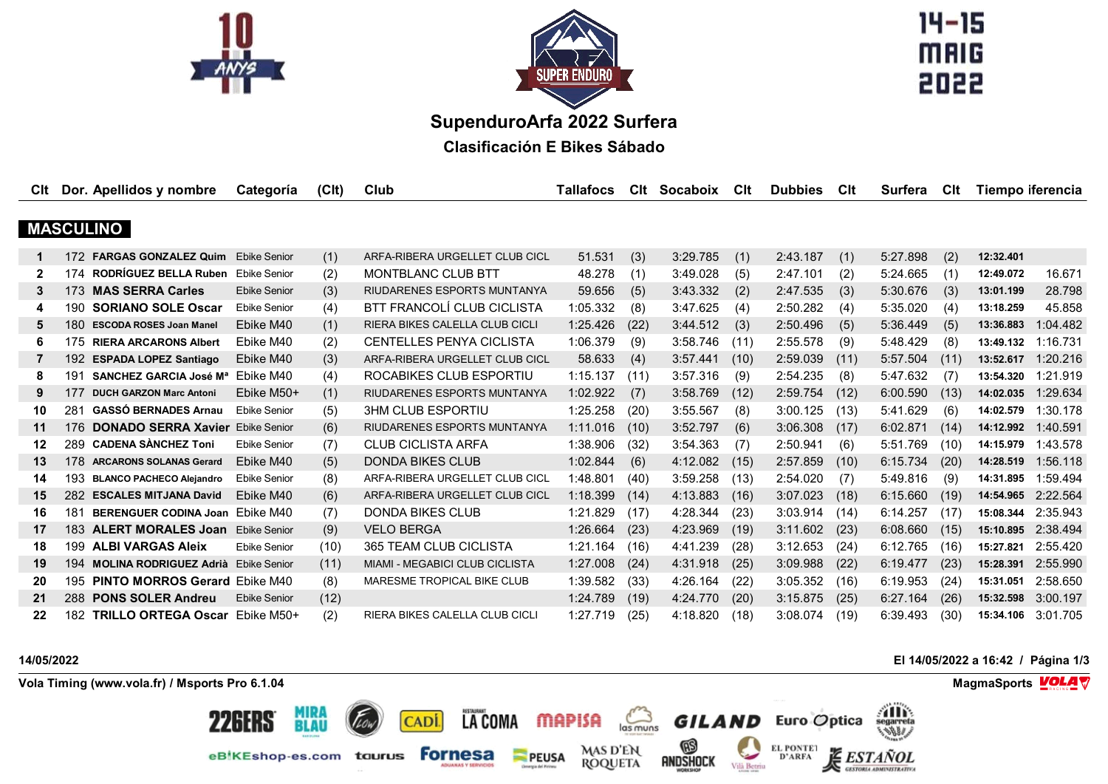



 $14 - 15$ **MAIG** 

**SupenduroArfa 2022 Surfera**

**Clasificación E Bikes Sábado**

| Clt          |     | Dor. Apellidos y nombre                    | Categoría           | (C <sub>l</sub> ) | Club                                  | Tallafocs | Clt  | Socaboix | Clt  | <b>Dubbies</b> | Clt  | <b>Surfera</b> | Clt  | Tiempo iferencia |                    |
|--------------|-----|--------------------------------------------|---------------------|-------------------|---------------------------------------|-----------|------|----------|------|----------------|------|----------------|------|------------------|--------------------|
|              |     |                                            |                     |                   |                                       |           |      |          |      |                |      |                |      |                  |                    |
|              |     | <b>MASCULINO</b>                           |                     |                   |                                       |           |      |          |      |                |      |                |      |                  |                    |
|              | 172 | <b>FARGAS GONZALEZ Quim</b>                | <b>Ebike Senior</b> | (1)               | ARFA-RIBERA URGELLET CLUB CICL        | 51.531    | (3)  | 3:29.785 | (1)  | 2:43.187       | (1)  | 5:27.898       | (2)  | 12:32.401        |                    |
| $\mathbf{2}$ | 174 | RODRÍGUEZ BELLA Ruben                      | Ebike Senior        | (2)               | <b>MONTBLANC CLUB BTT</b>             | 48.278    | (1)  | 3:49.028 | (5)  | 2:47.101       | (2)  | 5:24.665       | (1)  | 12:49.072        | 16.671             |
| 3            |     | 173 MAS SERRA Carles                       | <b>Ebike Senior</b> | (3)               | RIUDARENES ESPORTS MUNTANYA           | 59.656    | (5)  | 3:43.332 | (2)  | 2:47.535       | (3)  | 5:30.676       | (3)  | 13:01.199        | 28.798             |
| 4            | 190 | <b>SORIANO SOLE Oscar</b>                  | <b>Ebike Senior</b> | (4)               | BTT FRANCOLÍ CLUB CICLISTA            | 1:05.332  | (8)  | 3:47.625 | (4)  | 2:50.282       | (4)  | 5:35.020       | (4)  | 13:18.259        | 45.858             |
| 5            | 180 | <b>ESCODA ROSES Joan Manel</b>             | Ebike M40           | (1)               | <b>RIERA BIKES CALELLA CLUB CICLI</b> | 1:25.426  | (22) | 3:44.512 | (3)  | 2:50.496       | (5)  | 5:36.449       | (5)  | 13:36.883        | 1:04.482           |
| 6            |     | 175 RIERA ARCARONS Albert                  | Ebike M40           | (2)               | <b>CENTELLES PENYA CICLISTA</b>       | 1:06.379  | (9)  | 3:58.746 | (11) | 2:55.578       | (9)  | 5:48.429       | (8)  | 13:49.132        | 1:16.731           |
| 7            | 192 | <b>ESPADA LOPEZ Santiago</b>               | Ebike M40           | (3)               | ARFA-RIBERA URGELLET CLUB CICL        | 58.633    | (4)  | 3:57.441 | (10) | 2:59.039       | (11) | 5:57.504       | (11) | 13:52.617        | 1:20.216           |
| 8            | 191 | <b>SANCHEZ GARCIA José Ma</b>              | Ebike M40           | (4)               | ROCABIKES CLUB ESPORTIU               | 1:15.137  | (11) | 3:57.316 | (9)  | 2:54.235       | (8)  | 5:47.632       | (7)  | 13:54.320        | 1:21.919           |
| 9            | 177 | <b>DUCH GARZON Marc Antoni</b>             | Ebike M50+          | (1)               | RIUDARENES ESPORTS MUNTANYA           | 1:02.922  | (7)  | 3:58.769 | (12) | 2:59.754       | (12) | 6:00.590       | (13) | 14:02.035        | 1:29.634           |
| 10           | 281 | <b>GASSÓ BERNADES Arnau</b>                | <b>Ebike Senior</b> | (5)               | <b>3HM CLUB ESPORTIU</b>              | 1:25.258  | (20) | 3:55.567 | (8)  | 3:00.125       | (13) | 5:41.629       | (6)  | 14:02.579        | 1:30.178           |
| 11           | 176 | <b>DONADO SERRA Xavier Ebike Senior</b>    |                     | (6)               | RIUDARENES ESPORTS MUNTANYA           | 1:11.016  | (10) | 3:52.797 | (6)  | 3:06.308       | (17) | 6:02.871       | (14) | 14:12.992        | 1:40.591           |
| $12 \,$      |     | 289 CADENA SÀNCHEZ Toni                    | <b>Ebike Senior</b> | (7)               | CLUB CICLISTA ARFA                    | 1:38.906  | (32) | 3:54.363 | (7)  | 2:50.941       | (6)  | 5:51.769       | (10) | 14:15.979        | 1:43.578           |
| 13           | 178 | <b>ARCARONS SOLANAS Gerard</b>             | Ebike M40           | (5)               | <b>DONDA BIKES CLUB</b>               | 1:02.844  | (6)  | 4:12.082 | (15) | 2:57.859       | (10) | 6:15.734       | (20) | 14:28.519        | 1:56.118           |
| 14           | 193 | <b>BLANCO PACHECO Alejandro</b>            | <b>Ebike Senior</b> | (8)               | ARFA-RIBERA URGELLET CLUB CICL        | 1:48.801  | (40) | 3:59.258 | (13) | 2:54.020       | (7)  | 5:49.816       | (9)  | 14:31.895        | 1:59.494           |
| 15           | 282 | <b>ESCALES MITJANA David</b>               | Ebike M40           | (6)               | ARFA-RIBERA URGELLET CLUB CICL        | 1:18.399  | (14) | 4:13.883 | (16) | 3:07.023       | (18) | 6:15.660       | (19) |                  | 14:54.965 2:22.564 |
| 16           | 181 | BERENGUER CODINA Joan Ebike M40            |                     | (7)               | <b>DONDA BIKES CLUB</b>               | 1:21.829  | (17) | 4:28.344 | (23) | 3:03.914       | (14) | 6:14.257       | (17) | 15:08.344        | 2:35.943           |
| 17           |     | 183 ALERT MORALES Joan Ebike Senior        |                     | (9)               | <b>VELO BERGA</b>                     | 1:26.664  | (23) | 4:23.969 | (19) | 3:11.602       | (23) | 6:08.660       | (15) |                  | 15:10.895 2:38.494 |
| 18           |     | 199 ALBI VARGAS Aleix                      | <b>Ebike Senior</b> | (10)              | 365 TEAM CLUB CICLISTA                | 1:21.164  | (16) | 4:41.239 | (28) | 3:12.653       | (24) | 6:12.765       | (16) | 15:27.821        | 2:55.420           |
| 19           | 194 | <b>MOLINA RODRIGUEZ Adrià Ebike Senior</b> |                     | (11)              | <b>MIAMI - MEGABICI CLUB CICLISTA</b> | 1:27.008  | (24) | 4:31.918 | (25) | 3:09.988       | (22) | 6:19.477       | (23) | 15:28.391        | 2:55.990           |
| 20           | 195 | <b>PINTO MORROS Gerard Ebike M40</b>       |                     | (8)               | MARESME TROPICAL BIKE CLUB            | 1:39.582  | (33) | 4:26.164 | (22) | 3:05.352       | (16) | 6:19.953       | (24) | 15:31.051        | 2:58.650           |
| 21           | 288 | <b>PONS SOLER Andreu</b>                   | <b>Ebike Senior</b> | (12)              |                                       | 1:24.789  | (19) | 4:24.770 | (20) | 3:15.875       | (25) | 6:27.164       | (26) | 15:32.598        | 3:00.197           |
| 22           | 182 | <b>TRILLO ORTEGA Oscar</b> Ebike M50+      |                     | (2)               | <b>RIERA BIKES CALELLA CLUB CICLI</b> | 1:27.719  | (25) | 4:18.820 | (18) | 3:08.074       | (19) | 6:39.493       | (30) | 15:34.106        | 3:01.705           |

**14/05/2022 El 14/05/2022 a 16:42 / Página 1/3**

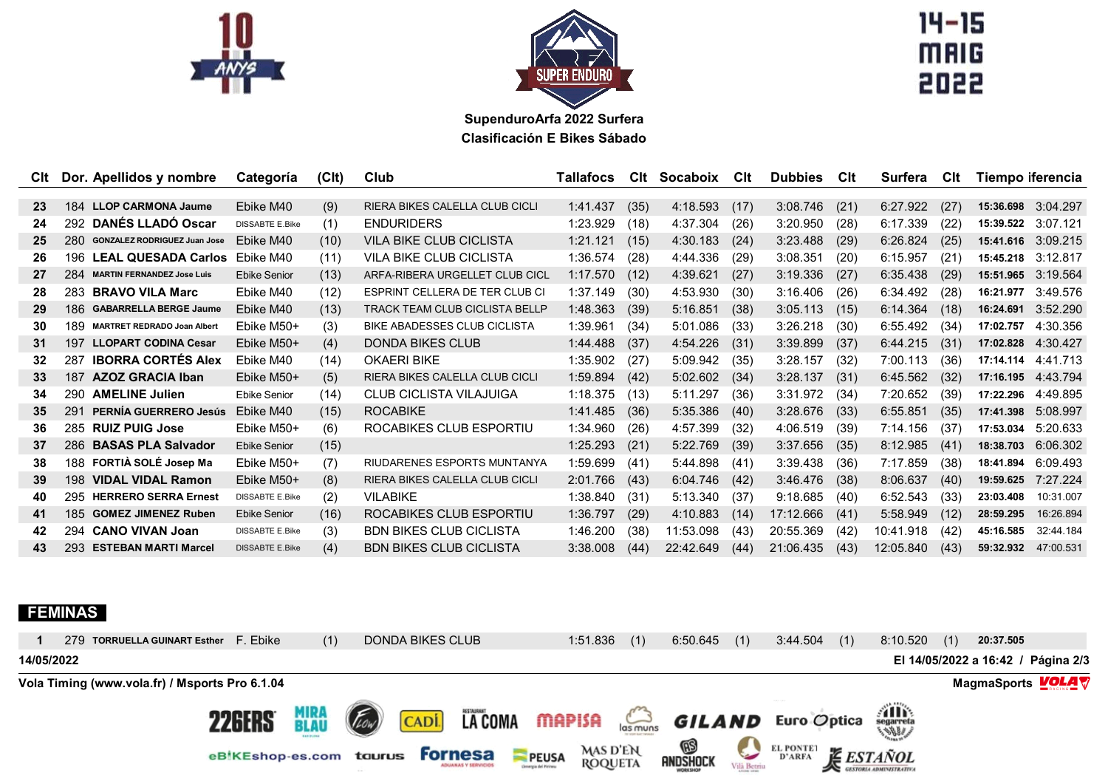



14-15<br>MAIG<br>2022

**SupenduroArfa 2022 Surfera Clasificación E Bikes Sábado**

|                 |     | CIt Dor. Apellidos y nombre         | Categoría              | (C <sub>l</sub> ) | Club                                  | Tallafocs | Clt  | Socaboix  | Clt  | <b>Dubbies</b> | <b>C</b> lt | Surfera   | Clt  | Tiempo iferencia   |                    |
|-----------------|-----|-------------------------------------|------------------------|-------------------|---------------------------------------|-----------|------|-----------|------|----------------|-------------|-----------|------|--------------------|--------------------|
|                 |     |                                     |                        |                   |                                       |           |      |           |      |                |             |           |      |                    |                    |
| 23              | 184 | <b>LLOP CARMONA Jaume</b>           | Fbike M40              | (9)               | RIERA BIKES CALELLA CLUB CICLI        | 1:41.437  | (35) | 4:18.593  | (17) | 3:08.746       | (21)        | 6:27.922  | (27) | 15:36.698          | 3:04.297           |
| 24              |     | 292 DANÉS LLADÓ Oscar               | <b>DISSABTE E.Bike</b> | (1)               | <b>ENDURIDERS</b>                     | 1:23.929  | (18) | 4:37.304  | (26) | 3:20.950       | (28)        | 6:17.339  | (22) | 15:39.522          | 3:07.121           |
| 25              | 280 | <b>GONZALEZ RODRIGUEZ Juan Jose</b> | Ebike M40              | (10)              | VILA BIKE CLUB CICLISTA               | 1:21.121  | (15) | 4:30.183  | (24) | 3:23.488       | (29)        | 6:26.824  | (25) |                    | 15:41.616 3:09.215 |
| 26              | 196 | <b>LEAL QUESADA Carlos</b>          | Ebike M40              | (11)              | <b>VILA BIKE CLUB CICLISTA</b>        | 1:36.574  | (28) | 4:44.336  | (29) | 3:08.351       | (20)        | 6:15.957  | (21) | 15:45.218          | 3:12.817           |
| 27              | 284 | <b>MARTIN FERNANDEZ Jose Luis</b>   | <b>Ebike Senior</b>    | (13)              | ARFA-RIBERA URGELLET CLUB CICL        | 1:17.570  | (12) | 4:39.621  | (27) | 3:19.336       | (27)        | 6:35.438  | (29) | 15:51.965          | 3:19.564           |
| 28              |     | 283 BRAVO VILA Marc                 | Ebike M40              | (12)              | ESPRINT CELLERA DE TER CLUB CI        | 1:37.149  | (30) | 4:53.930  | (30) | 3:16.406       | (26)        | 6:34.492  | (28) | 16:21.977          | 3:49.576           |
| 29              | 186 | <b>GABARRELLA BERGE Jaume</b>       | Ebike M40              | (13)              | <b>TRACK TEAM CLUB CICLISTA BELLP</b> | 1:48.363  | (39) | 5:16.851  | (38) | 3:05.113       | (15)        | 6:14.364  | (18) | 16:24.691          | 3:52.290           |
| 30              | 189 | <b>MARTRET REDRADO Joan Albert</b>  | Ebike M50+             | (3)               | <b>BIKE ABADESSES CLUB CICLISTA</b>   | 1:39.961  | (34) | 5:01.086  | (33) | 3:26.218       | (30)        | 6:55.492  | (34  | 17:02.757          | 4:30.356           |
| 31              | 197 | <b>LLOPART CODINA Cesar</b>         | Ebike M50+             | (4)               | <b>DONDA BIKES CLUB</b>               | 1:44.488  | (37) | 4:54.226  | (31) | 3:39.899       | (37)        | 6:44.215  | (31) | 17:02.828          | 4:30.427           |
| 32 <sub>2</sub> | 287 | <b>IBORRA CORTÉS Alex</b>           | Ebike M40              | (14)              | <b>OKAERI BIKE</b>                    | 1:35.902  | (27) | 5:09.942  | (35) | 3:28.157       | (32)        | 7:00.113  | (36) | 17:14.114 4:41.713 |                    |
| 33              | 187 | <b>AZOZ GRACIA Iban</b>             | Ebike M50+             | (5)               | RIERA BIKES CALELLA CLUB CICLI        | 1:59.894  | (42) | 5:02.602  | (34) | 3:28.137       | (31)        | 6:45.562  | (32) | 17:16.195          | 4:43.794           |
| 34              | 290 | <b>AMELINE Julien</b>               | <b>Ebike Senior</b>    | (14)              | <b>CLUB CICLISTA VILAJUIGA</b>        | 1:18.375  | (13) | 5:11.297  | (36) | 3:31.972       | (34)        | 7:20.652  | (39) | 17:22.296          | 4:49.895           |
| 35              | 291 | <b>PERNÍA GUERRERO Jesús</b>        | Ebike M40              | (15)              | <b>ROCABIKE</b>                       | 1:41.485  | (36) | 5:35.386  | (40) | 3:28.676       | (33)        | 6:55.851  | (35) | 17:41.398          | 5:08.997           |
| 36              |     | 285 RUIZ PUIG Jose                  | Ebike M50+             | (6)               | ROCABIKES CLUB ESPORTIU               | 1:34.960  | (26) | 4:57.399  | (32) | 4:06.519       | (39)        | 7:14.156  | (37) | 17:53.034          | 5:20.633           |
| 37              | 286 | <b>BASAS PLA Salvador</b>           | <b>Ebike Senior</b>    | (15)              |                                       | 1:25.293  | (21) | 5:22.769  | (39) | 3:37.656       | (35)        | 8:12.985  | (41) | 18:38.703          | 6:06.302           |
| 38              | 188 | FORTIÀ SOLÉ Josep Ma                | Ebike M50+             | (7)               | RIUDARENES ESPORTS MUNTANYA           | 1:59.699  | (41) | 5:44.898  | (41) | 3:39.438       | (36)        | 7:17.859  | (38) | 18:41.894          | 6:09.493           |
| 39              | 198 | <b>VIDAL VIDAL Ramon</b>            | Ebike M50+             | (8)               | RIERA BIKES CALELLA CLUB CICLI        | 2:01.766  | (43) | 6:04.746  | (42) | 3:46.476       | (38)        | 8:06.637  | (40) | 19:59.625          | 7:27.224           |
| 40              | 295 | <b>HERRERO SERRA Ernest</b>         | <b>DISSABTE E.Bike</b> | (2)               | <b>VILABIKE</b>                       | 1:38.840  | (31) | 5:13.340  | (37) | 9:18.685       | (40)        | 6:52.543  | (33) | 23:03.408          | 10:31.007          |
| 41              | 185 | <b>GOMEZ JIMENEZ Ruben</b>          | <b>Ebike Senior</b>    | (16)              | ROCABIKES CLUB ESPORTIU               | 1:36.797  | (29) | 4:10.883  | (14) | 17:12.666      | (41)        | 5:58.949  | (12) | 28:59.295          | 16:26.894          |
| 42              | 294 | <b>CANO VIVAN Joan</b>              | <b>DISSABTE E.Bike</b> | (3)               | <b>BDN BIKES CLUB CICLISTA</b>        | 1:46.200  | (38) | 11:53.098 | (43) | 20:55.369      | (42)        | 10:41.918 | (42) | 45:16.585          | 32:44.184          |
| 43              | 293 | <b>ESTEBAN MARTI Marcel</b>         | <b>DISSABTE E.Bike</b> | (4)               | <b>BDN BIKES CLUB CICLISTA</b>        | 3:38.008  | (44) | 22:42.649 | (44) | 21:06.435      | (43)        | 12:05.840 | (43) | 59:32.932          | 47:00.531          |
|                 |     |                                     |                        |                   |                                       |           |      |           |      |                |             |           |      |                    |                    |

## **FEMINAS**

| 279 TORRUELLA GUINART Esther F. Ebike          |                         | (1)          | DONDA BIKES CLUB |                | 1:51.836                                                                  | (1) | 6:50.645             | (1) | 3:44.504                   | (1) | 8:10.520         | (1)<br>20:37.505                   |  |
|------------------------------------------------|-------------------------|--------------|------------------|----------------|---------------------------------------------------------------------------|-----|----------------------|-----|----------------------------|-----|------------------|------------------------------------|--|
| 14/05/2022                                     |                         |              |                  |                |                                                                           |     |                      |     |                            |     |                  | El 14/05/2022 a 16:42 / Página 2/3 |  |
| Vola Timing (www.vola.fr) / Msports Pro 6.1.04 |                         |              |                  |                |                                                                           |     |                      |     |                            |     |                  | MagmaSports <b>VOLA</b>            |  |
|                                                | <b>22GERS</b>           | MIRA<br>BLAU | (FLOW)<br>CADI.  | <b>LA COMA</b> | <b>MAPISA GILAND</b> Euro Optica                                          |     |                      |     |                            |     |                  |                                    |  |
|                                                | eBIKEshop-es.com taurus |              |                  | <b>Fornesa</b> | <b>MAS D'EN</b><br>PEUSA<br><b>ROQUETA</b><br><b>Conergia del Pirinou</b> |     | rndshock<br>RNDSHOCK |     | <b>EL PONTET</b><br>D'ARFA |     | <b>E</b> ESTAÑOL |                                    |  |